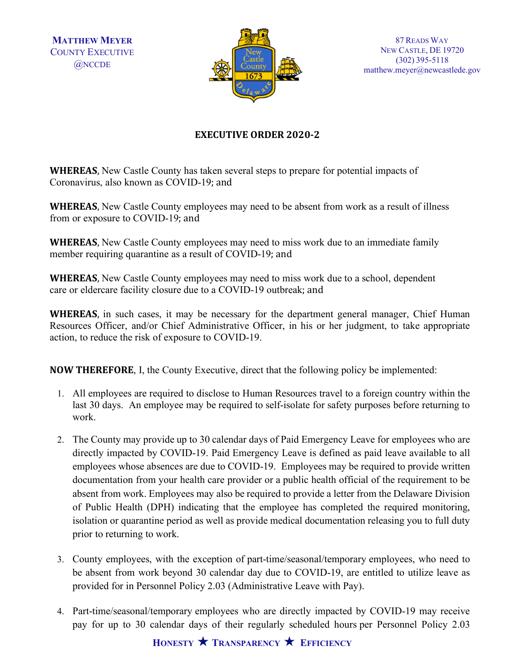**MATTHEW MEYER** COUNTY EXECUTIVE @NCCDE



## **EXECUTIVE ORDER 2020-2**

**WHEREAS**, New Castle County has taken several steps to prepare for potential impacts of Coronavirus, also known as COVID-19; and

**WHEREAS**, New Castle County employees may need to be absent from work as a result of illness from or exposure to COVID-19; and

**WHEREAS**, New Castle County employees may need to miss work due to an immediate family member requiring quarantine as a result of COVID-19; and

**WHEREAS**, New Castle County employees may need to miss work due to a school, dependent care or eldercare facility closure due to a COVID-19 outbreak; and

**WHEREAS**, in such cases, it may be necessary for the department general manager, Chief Human Resources Officer, and/or Chief Administrative Officer, in his or her judgment, to take appropriate action, to reduce the risk of exposure to COVID-19.

**NOW THEREFORE**, I, the County Executive, direct that the following policy be implemented:

- 1. All employees are required to disclose to Human Resources travel to a foreign country within the last 30 days. An employee may be required to self-isolate for safety purposes before returning to work.
- 2. The County may provide up to 30 calendar days of Paid Emergency Leave for employees who are directly impacted by COVID-19. Paid Emergency Leave is defined as paid leave available to all employees whose absences are due to COVID-19. Employees may be required to provide written documentation from your health care provider or a public health official of the requirement to be absent from work. Employees may also be required to provide a letter from the Delaware Division of Public Health (DPH) indicating that the employee has completed the required monitoring, isolation or quarantine period as well as provide medical documentation releasing you to full duty prior to returning to work.
- 3. County employees, with the exception of part-time/seasonal/temporary employees, who need to be absent from work beyond 30 calendar day due to COVID-19, are entitled to utilize leave as provided for in Personnel Policy 2.03 (Administrative Leave with Pay).
- 4. Part-time/seasonal/temporary employees who are directly impacted by COVID-19 may receive pay for up to 30 calendar days of their regularly scheduled hours per Personnel Policy 2.03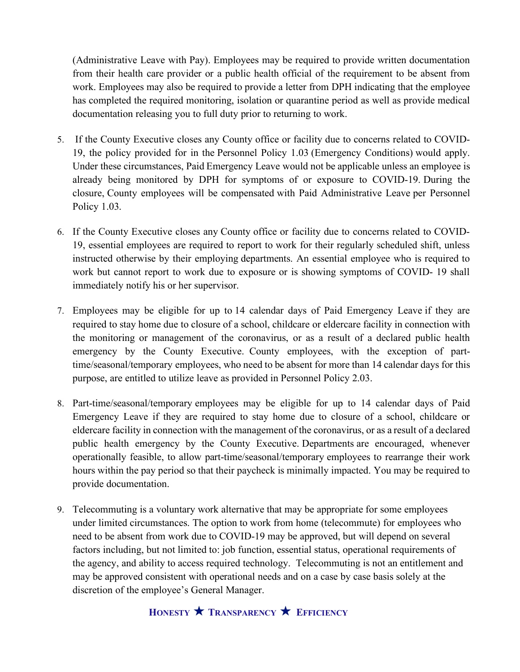(Administrative Leave with Pay). Employees may be required to provide written documentation from their health care provider or a public health official of the requirement to be absent from work. Employees may also be required to provide a letter from DPH indicating that the employee has completed the required monitoring, isolation or quarantine period as well as provide medical documentation releasing you to full duty prior to returning to work.

- 5. If the County Executive closes any County office or facility due to concerns related to COVID-19, the policy provided for in the Personnel Policy 1.03 (Emergency Conditions) would apply. Under these circumstances, Paid Emergency Leave would not be applicable unless an employee is already being monitored by DPH for symptoms of or exposure to COVID-19. During the closure, County employees will be compensated with Paid Administrative Leave per Personnel Policy 1.03.
- 6. If the County Executive closes any County office or facility due to concerns related to COVID-19, essential employees are required to report to work for their regularly scheduled shift, unless instructed otherwise by their employing departments. An essential employee who is required to work but cannot report to work due to exposure or is showing symptoms of COVID- 19 shall immediately notify his or her supervisor.
- 7. Employees may be eligible for up to 14 calendar days of Paid Emergency Leave if they are required to stay home due to closure of a school, childcare or eldercare facility in connection with the monitoring or management of the coronavirus, or as a result of a declared public health emergency by the County Executive. County employees, with the exception of parttime/seasonal/temporary employees, who need to be absent for more than 14 calendar days for this purpose, are entitled to utilize leave as provided in Personnel Policy 2.03.
- 8. Part-time/seasonal/temporary employees may be eligible for up to 14 calendar days of Paid Emergency Leave if they are required to stay home due to closure of a school, childcare or eldercare facility in connection with the management of the coronavirus, or as a result of a declared public health emergency by the County Executive. Departments are encouraged, whenever operationally feasible, to allow part-time/seasonal/temporary employees to rearrange their work hours within the pay period so that their paycheck is minimally impacted. You may be required to provide documentation.
- 9. Telecommuting is a voluntary work alternative that may be appropriate for some employees under limited circumstances. The option to work from home (telecommute) for employees who need to be absent from work due to COVID-19 may be approved, but will depend on several factors including, but not limited to: job function, essential status, operational requirements of the agency, and ability to access required technology. Telecommuting is not an entitlement and may be approved consistent with operational needs and on a case by case basis solely at the discretion of the employee's General Manager.

## **HONESTY TRANSPARENCY EFFICIENCY**